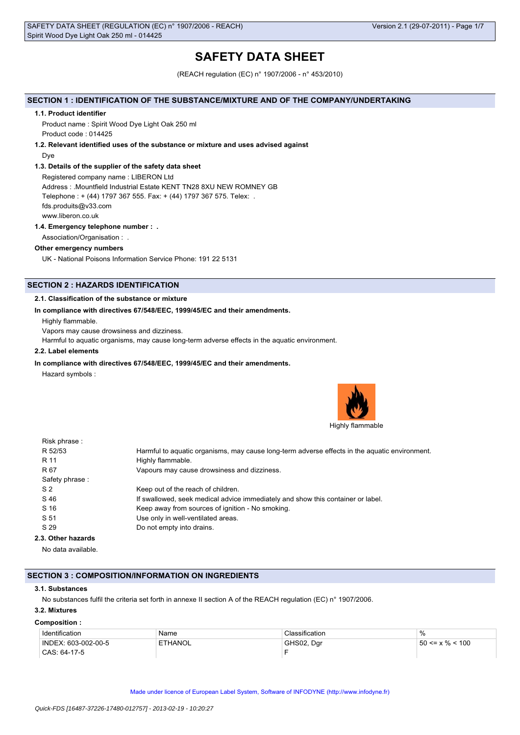# **SAFETY DATA SHEET**

(REACH regulation (EC) n° 1907/2006 - n° 453/2010)

## **SECTION 1 : IDENTIFICATION OF THE SUBSTANCE/MIXTURE AND OF THE COMPANY/UNDERTAKING**

#### **1.1. Product identifier**

Product name : Spirit Wood Dye Light Oak 250 ml Product code : 014425

## **1.2. Relevant identified uses of the substance or mixture and uses advised against**

Dye

## **1.3. Details of the supplier of the safety data sheet**

Registered company name : LIBERON Ltd Address : .Mountfield Industrial Estate KENT TN28 8XU NEW ROMNEY GB Telephone : + (44) 1797 367 555. Fax: + (44) 1797 367 575. Telex: . fds.produits@v33.com www.liberon.co.uk

## **1.4. Emergency telephone number : .**

Association/Organisation : .

### **Other emergency numbers**

UK - National Poisons Information Service Phone: 191 22 5131

# **SECTION 2 : HAZARDS IDENTIFICATION**

### **2.1. Classification of the substance or mixture**

#### **In compliance with directives 67/548/EEC, 1999/45/EC and their amendments.**

Highly flammable.

Vapors may cause drowsiness and dizziness.

Harmful to aquatic organisms, may cause long-term adverse effects in the aquatic environment.

## **2.2. Label elements**

## **In compliance with directives 67/548/EEC, 1999/45/EC and their amendments.**

Hazard symbols :



| Harmful to aquatic organisms, may cause long-term adverse effects in the aquatic environment. |
|-----------------------------------------------------------------------------------------------|
| Highly flammable.                                                                             |
| Vapours may cause drowsiness and dizziness.                                                   |
|                                                                                               |
| Keep out of the reach of children.                                                            |
| If swallowed, seek medical advice immediately and show this container or label.               |
| Keep away from sources of ignition - No smoking.                                              |
| Use only in well-ventilated areas.                                                            |
| Do not empty into drains.                                                                     |
|                                                                                               |
|                                                                                               |

No data available.

### **SECTION 3 : COMPOSITION/INFORMATION ON INGREDIENTS**

#### **3.1. Substances**

No substances fulfil the criteria set forth in annexe II section A of the REACH regulation (EC) n° 1907/2006.

# **3.2. Mixtures**

#### **Composition :**

| Identification      | Name    | :lassification | $\%$                   |
|---------------------|---------|----------------|------------------------|
| INDEX: 603-002-00-5 | ETHANOL | GHS02.<br>Da   | < 100<br>$50 \le x \%$ |
| CAS: 64-17-5        |         |                |                        |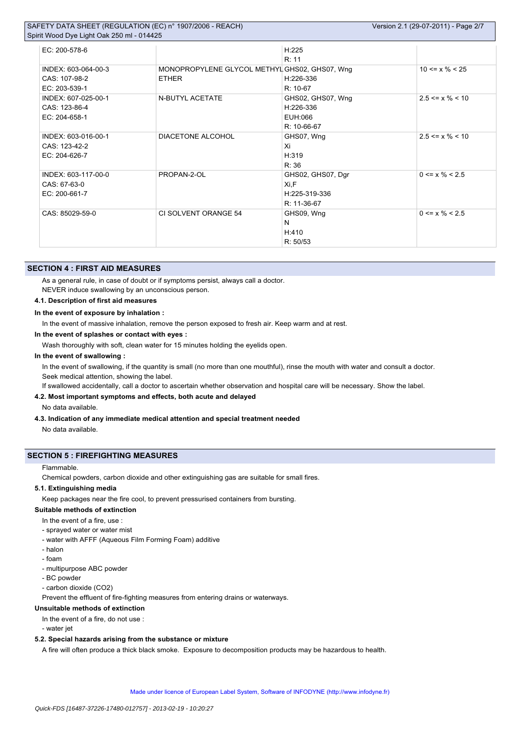| SAFETY DATA SHEET (REGULATION (EC) n° 1907/2006 - REACH) | Version 2.1 (29-07-2011) - Page 2/7 |
|----------------------------------------------------------|-------------------------------------|
| Spirit Wood Dye Light Oak 250 ml - 014425                |                                     |

| EC: 200-578-6       |                                               | H:225             |                       |
|---------------------|-----------------------------------------------|-------------------|-----------------------|
|                     |                                               | R: 11             |                       |
| INDEX: 603-064-00-3 | MONOPROPYLENE GLYCOL METHYL GHS02, GHS07, Wng |                   | $10 \le x \% \le 25$  |
| CAS: 107-98-2       | <b>ETHER</b>                                  | H:226-336         |                       |
| EC: 203-539-1       |                                               | R: 10-67          |                       |
| INDEX: 607-025-00-1 | N-BUTYL ACETATE                               | GHS02, GHS07, Wng | $2.5 \le x \% \le 10$ |
| CAS: 123-86-4       |                                               | H:226-336         |                       |
| EC: 204-658-1       |                                               | EUH:066           |                       |
|                     |                                               | R: 10-66-67       |                       |
| INDEX: 603-016-00-1 | DIACETONE ALCOHOL                             | GHS07, Wng        | $2.5 \le x \% \le 10$ |
| CAS: 123-42-2       |                                               | Xi                |                       |
| EC: 204-626-7       |                                               | H:319             |                       |
|                     |                                               | R: 36             |                       |
| INDEX: 603-117-00-0 | PROPAN-2-OL                                   | GHS02, GHS07, Dgr | $0 \le x \% \le 2.5$  |
| CAS: 67-63-0        |                                               | Xi,F              |                       |
| EC: 200-661-7       |                                               | H:225-319-336     |                       |
|                     |                                               | R: 11-36-67       |                       |
| CAS: 85029-59-0     | CI SOLVENT ORANGE 54                          | GHS09, Wng        | $0 \le x \% \le 2.5$  |
|                     |                                               | N                 |                       |
|                     |                                               | H:410             |                       |
|                     |                                               | R: 50/53          |                       |

## **SECTION 4 : FIRST AID MEASURES**

As a general rule, in case of doubt or if symptoms persist, always call a doctor.

NEVER induce swallowing by an unconscious person.

## **4.1. Description of first aid measures**

### **In the event of exposure by inhalation :**

In the event of massive inhalation, remove the person exposed to fresh air. Keep warm and at rest.

### **In the event of splashes or contact with eyes :**

Wash thoroughly with soft, clean water for 15 minutes holding the eyelids open.

## **In the event of swallowing :**

In the event of swallowing, if the quantity is small (no more than one mouthful), rinse the mouth with water and consult a doctor. Seek medical attention, showing the label.

If swallowed accidentally, call a doctor to ascertain whether observation and hospital care will be necessary. Show the label.

# **4.2. Most important symptoms and effects, both acute and delayed**

No data available.

### **4.3. Indication of any immediate medical attention and special treatment needed**

No data available.

### **SECTION 5 : FIREFIGHTING MEASURES**

### Flammable.

Chemical powders, carbon dioxide and other extinguishing gas are suitable for small fires.

## **5.1. Extinguishing media**

Keep packages near the fire cool, to prevent pressurised containers from bursting.

## **Suitable methods of extinction**

- In the event of a fire, use :
- sprayed water or water mist
- water with AFFF (Aqueous Film Forming Foam) additive
- halon
- foam
- multipurpose ABC powder
- BC powder
- carbon dioxide (CO2)

Prevent the effluent of fire-fighting measures from entering drains or waterways.

## **Unsuitable methods of extinction**

In the event of a fire, do not use :

- water jet

## **5.2. Special hazards arising from the substance or mixture**

A fire will often produce a thick black smoke. Exposure to decomposition products may be hazardous to health.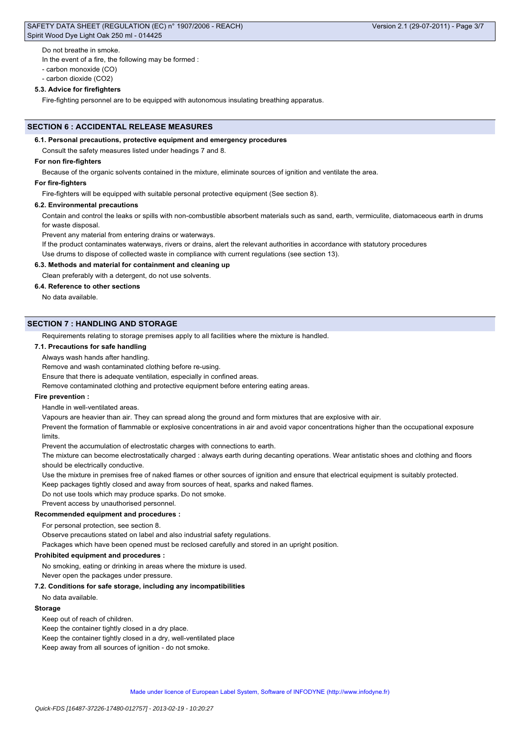Do not breathe in smoke.

In the event of a fire, the following may be formed :

- carbon monoxide (CO)

- carbon dioxide (CO2)

### **5.3. Advice for firefighters**

Fire-fighting personnel are to be equipped with autonomous insulating breathing apparatus.

### **SECTION 6 : ACCIDENTAL RELEASE MEASURES**

### **6.1. Personal precautions, protective equipment and emergency procedures**

Consult the safety measures listed under headings 7 and 8.

## **For non fire-fighters**

Because of the organic solvents contained in the mixture, eliminate sources of ignition and ventilate the area.

#### **For fire-fighters**

Fire-fighters will be equipped with suitable personal protective equipment (See section 8).

### **6.2. Environmental precautions**

Contain and control the leaks or spills with non-combustible absorbent materials such as sand, earth, vermiculite, diatomaceous earth in drums for waste disposal.

Prevent any material from entering drains or waterways.

If the product contaminates waterways, rivers or drains, alert the relevant authorities in accordance with statutory procedures

Use drums to dispose of collected waste in compliance with current regulations (see section 13).

## **6.3. Methods and material for containment and cleaning up**

Clean preferably with a detergent, do not use solvents.

## **6.4. Reference to other sections**

No data available.

## **SECTION 7 : HANDLING AND STORAGE**

Requirements relating to storage premises apply to all facilities where the mixture is handled.

#### **7.1. Precautions for safe handling**

Always wash hands after handling.

Remove and wash contaminated clothing before re-using.

Ensure that there is adequate ventilation, especially in confined areas.

Remove contaminated clothing and protective equipment before entering eating areas.

#### **Fire prevention :**

Handle in well-ventilated areas.

Vapours are heavier than air. They can spread along the ground and form mixtures that are explosive with air.

Prevent the formation of flammable or explosive concentrations in air and avoid vapor concentrations higher than the occupational exposure limits.

Prevent the accumulation of electrostatic charges with connections to earth.

The mixture can become electrostatically charged : always earth during decanting operations. Wear antistatic shoes and clothing and floors should be electrically conductive.

Use the mixture in premises free of naked flames or other sources of ignition and ensure that electrical equipment is suitably protected.

Keep packages tightly closed and away from sources of heat, sparks and naked flames.

Do not use tools which may produce sparks. Do not smoke.

Prevent access by unauthorised personnel.

### **Recommended equipment and procedures :**

For personal protection, see section 8.

Observe precautions stated on label and also industrial safety regulations.

Packages which have been opened must be reclosed carefully and stored in an upright position.

#### **Prohibited equipment and procedures :**

No smoking, eating or drinking in areas where the mixture is used.

Never open the packages under pressure.

### **7.2. Conditions for safe storage, including any incompatibilities**

No data available.

### **Storage**

Keep out of reach of children.

Keep the container tightly closed in a dry place.

Keep the container tightly closed in a dry, well-ventilated place

Keep away from all sources of ignition - do not smoke.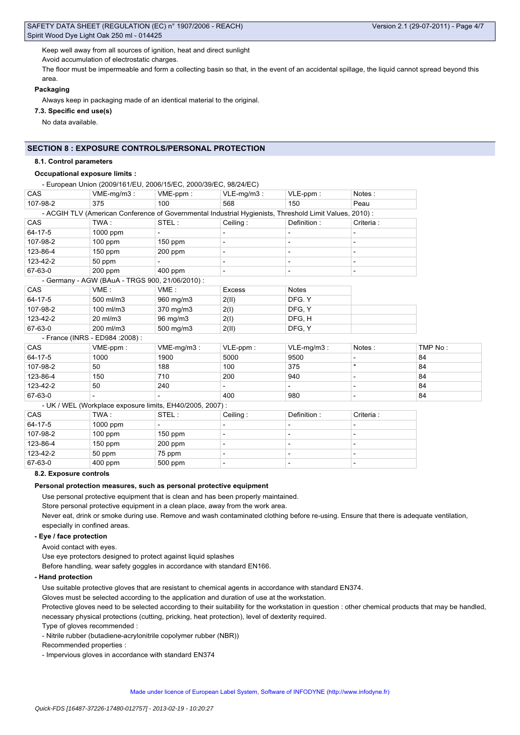Keep well away from all sources of ignition, heat and direct sunlight

Avoid accumulation of electrostatic charges.

The floor must be impermeable and form a collecting basin so that, in the event of an accidental spillage, the liquid cannot spread beyond this area.

## **Packaging**

Always keep in packaging made of an identical material to the original.

**7.3. Specific end use(s)**

No data available.

# **SECTION 8 : EXPOSURE CONTROLS/PERSONAL PROTECTION**

## **8.1. Control parameters**

## **Occupational exposure limits :**

## - European Union (2009/161/EU, 2006/15/EC, 2000/39/EC, 98/24/EC)

| CAS        | $VME-mg/m3$ :                                   | VME-ppm:                                                                                                | $VLE-mg/m3$ :                | $VLE-ppm$ :   | Notes:     |         |
|------------|-------------------------------------------------|---------------------------------------------------------------------------------------------------------|------------------------------|---------------|------------|---------|
| 107-98-2   | 375                                             | 100                                                                                                     | 568                          | 150           | Peau       |         |
|            |                                                 | - ACGIH TLV (American Conference of Governmental Industrial Hygienists, Threshold Limit Values, 2010) : |                              |               |            |         |
| CAS        | TWA:                                            | STEL:                                                                                                   | Ceiling:                     | Definition:   | Criteria:  |         |
| 64-17-5    | 1000 ppm                                        |                                                                                                         |                              |               |            |         |
| 107-98-2   | $100$ ppm                                       | $150$ ppm                                                                                               | $\overline{\phantom{0}}$     |               |            |         |
| 123-86-4   | $150$ ppm                                       | 200 ppm                                                                                                 | $\overline{\phantom{a}}$     |               |            |         |
| 123-42-2   | 50 ppm                                          |                                                                                                         | $\qquad \qquad \blacksquare$ |               |            |         |
| 67-63-0    | $200$ ppm                                       | $400$ ppm                                                                                               | $\overline{\phantom{0}}$     |               |            |         |
|            | - Germany - AGW (BAuA - TRGS 900, 21/06/2010) : |                                                                                                         |                              |               |            |         |
| CAS        | VME:                                            | VME:                                                                                                    | <b>Excess</b>                | <b>Notes</b>  |            |         |
| 64-17-5    | 500 ml/m3                                       | 960 mg/m3                                                                                               | 2(II)                        | DFG. Y        |            |         |
| 107-98-2   | 100 ml/m3                                       | 370 mg/m3                                                                                               | 2(I)                         | DFG. Y        |            |         |
| 123-42-2   | 20 ml/m3                                        | 96 mg/m3                                                                                                | 2(1)                         | DFG, H        |            |         |
| 67-63-0    | 200 ml/m3                                       | 500 mg/m3                                                                                               | 2(II)                        | DFG, Y        |            |         |
|            | - France (INRS - ED984 : 2008) :                |                                                                                                         |                              |               |            |         |
| CAS        | VME-ppm:                                        | $VME-mg/m3$ :                                                                                           | VLE-ppm:                     | $VLE-mg/m3$ : | Notes:     | TMP No: |
| 64-17-5    | 1000                                            | 1900                                                                                                    | 5000                         | 9500          |            | 84      |
| 107-98-2   | 50                                              | 188                                                                                                     | 100                          | 375           | $\star$    | 84      |
| 123-86-4   | 150                                             | 710                                                                                                     | 200                          | 940           |            | 84      |
| 123-42-2   | 50                                              | 240                                                                                                     |                              |               |            | 84      |
| 67-63-0    |                                                 |                                                                                                         | 400                          | 980           |            | 84      |
|            |                                                 | - UK / WEL (Workplace exposure limits, EH40/2005, 2007) :                                               |                              |               |            |         |
| <b>CAS</b> | TWA:                                            | STEL:                                                                                                   | Ceiling:                     | Definition:   | Criteria : |         |
| 64-17-5    | 1000 ppm                                        |                                                                                                         |                              |               |            |         |

| 107-98-2 | $100$ ppm | $150$ ppm |  |  |
|----------|-----------|-----------|--|--|
| 123-86-4 | $150$ ppm | $200$ ppm |  |  |
| 123-42-2 | 50 ppm    | 75 ppm    |  |  |
| 67-63-0  | $400$ ppm | 500 ppm   |  |  |

#### **8.2. Exposure controls**

#### **Personal protection measures, such as personal protective equipment**

Use personal protective equipment that is clean and has been properly maintained.

Store personal protective equipment in a clean place, away from the work area.

Never eat, drink or smoke during use. Remove and wash contaminated clothing before re-using. Ensure that there is adequate ventilation, especially in confined areas.

## **- Eye / face protection**

Avoid contact with eyes.

Use eye protectors designed to protect against liquid splashes

Before handling, wear safety goggles in accordance with standard EN166.

## **- Hand protection**

Use suitable protective gloves that are resistant to chemical agents in accordance with standard EN374.

Gloves must be selected according to the application and duration of use at the workstation.

Protective gloves need to be selected according to their suitability for the workstation in question : other chemical products that may be handled, necessary physical protections (cutting, pricking, heat protection), level of dexterity required.

Type of gloves recommended :

- Nitrile rubber (butadiene-acrylonitrile copolymer rubber (NBR))

Recommended properties :

- Impervious gloves in accordance with standard EN374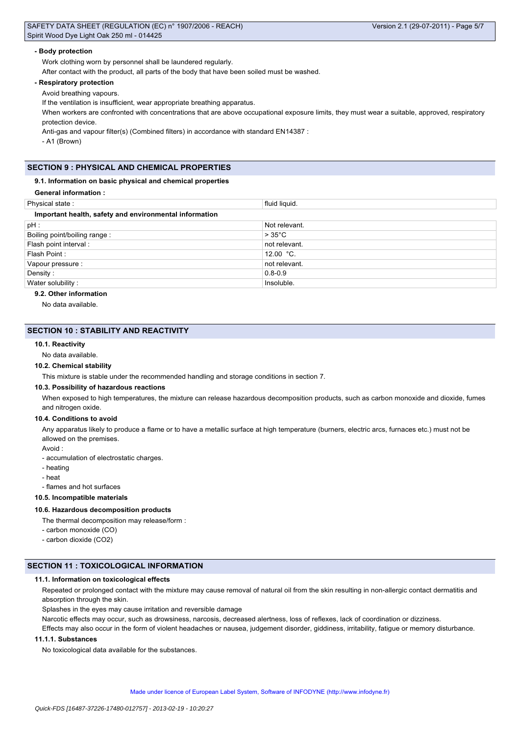| SAFETY DATA SHEET (REGULATION (EC) n° 1907/2006 - REACH)                                                                                      |                     | Version 2.1 (29-07-2011) - Page 5/7 |
|-----------------------------------------------------------------------------------------------------------------------------------------------|---------------------|-------------------------------------|
| Spirit Wood Dye Light Oak 250 ml - 014425                                                                                                     |                     |                                     |
| - Body protection                                                                                                                             |                     |                                     |
| Work clothing worn by personnel shall be laundered regularly.                                                                                 |                     |                                     |
| After contact with the product, all parts of the body that have been soiled must be washed.                                                   |                     |                                     |
| - Respiratory protection                                                                                                                      |                     |                                     |
| Avoid breathing vapours.                                                                                                                      |                     |                                     |
| If the ventilation is insufficient, wear appropriate breathing apparatus.                                                                     |                     |                                     |
| When workers are confronted with concentrations that are above occupational exposure limits, they must wear a suitable, approved, respiratory |                     |                                     |
| protection device.                                                                                                                            |                     |                                     |
| Anti-gas and vapour filter(s) (Combined filters) in accordance with standard EN14387 :                                                        |                     |                                     |
| - A1 (Brown)                                                                                                                                  |                     |                                     |
|                                                                                                                                               |                     |                                     |
|                                                                                                                                               |                     |                                     |
| <b>SECTION 9: PHYSICAL AND CHEMICAL PROPERTIES</b>                                                                                            |                     |                                     |
| 9.1. Information on basic physical and chemical properties                                                                                    |                     |                                     |
| <b>General information:</b>                                                                                                                   |                     |                                     |
| Physical state:                                                                                                                               | fluid liquid.       |                                     |
| Important health, safety and environmental information                                                                                        |                     |                                     |
| pH:                                                                                                                                           | Not relevant.       |                                     |
| Boiling point/boiling range:                                                                                                                  | $>35^{\circ}$ C     |                                     |
| Flash point interval :                                                                                                                        | not relevant.       |                                     |
| Flash Point:                                                                                                                                  | 12.00 $^{\circ}$ C. |                                     |
| Vapour pressure :                                                                                                                             | not relevant.       |                                     |
| Density:                                                                                                                                      | $0.8 - 0.9$         |                                     |

# **9.2. Other information**

No data available.

## **SECTION 10 : STABILITY AND REACTIVITY**

#### **10.1. Reactivity**

#### No data available.

#### **10.2. Chemical stability**

This mixture is stable under the recommended handling and storage conditions in section 7.

Water solubility : Insoluble.

#### **10.3. Possibility of hazardous reactions**

When exposed to high temperatures, the mixture can release hazardous decomposition products, such as carbon monoxide and dioxide, fumes and nitrogen oxide.

#### **10.4. Conditions to avoid**

Any apparatus likely to produce a flame or to have a metallic surface at high temperature (burners, electric arcs, furnaces etc.) must not be allowed on the premises.

Avoid :

- accumulation of electrostatic charges.
- heating
- heat
- flames and hot surfaces

#### **10.5. Incompatible materials**

## **10.6. Hazardous decomposition products**

- The thermal decomposition may release/form :
- carbon monoxide (CO)
- carbon dioxide (CO2)

## **SECTION 11 : TOXICOLOGICAL INFORMATION**

### **11.1. Information on toxicological effects**

Repeated or prolonged contact with the mixture may cause removal of natural oil from the skin resulting in non-allergic contact dermatitis and absorption through the skin.

Splashes in the eyes may cause irritation and reversible damage

Narcotic effects may occur, such as drowsiness, narcosis, decreased alertness, loss of reflexes, lack of coordination or dizziness.

Effects may also occur in the form of violent headaches or nausea, judgement disorder, giddiness, irritability, fatigue or memory disturbance.

## **11.1.1. Substances**

No toxicological data available for the substances.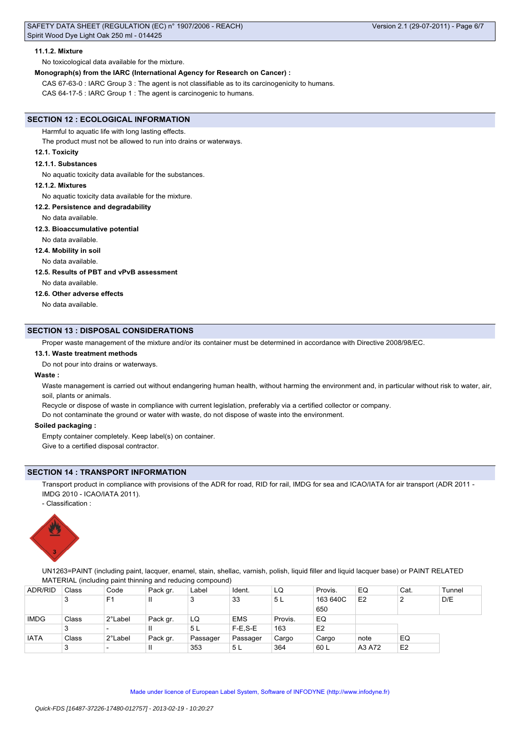### **11.1.2. Mixture**

No toxicological data available for the mixture.

## **Monograph(s) from the IARC (International Agency for Research on Cancer) :**

CAS 67-63-0 : IARC Group 3 : The agent is not classifiable as to its carcinogenicity to humans.

CAS 64-17-5 : IARC Group 1 : The agent is carcinogenic to humans.

### **SECTION 12 : ECOLOGICAL INFORMATION**

Harmful to aquatic life with long lasting effects.

The product must not be allowed to run into drains or waterways.

## **12.1. Toxicity**

#### **12.1.1. Substances**

No aquatic toxicity data available for the substances.

### **12.1.2. Mixtures**

No aquatic toxicity data available for the mixture.

### **12.2. Persistence and degradability**

No data available.

#### **12.3. Bioaccumulative potential**

No data available.

#### **12.4. Mobility in soil**

No data available.

## **12.5. Results of PBT and vPvB assessment**

No data available.

## **12.6. Other adverse effects**

No data available.

### **SECTION 13 : DISPOSAL CONSIDERATIONS**

Proper waste management of the mixture and/or its container must be determined in accordance with Directive 2008/98/EC.

#### **13.1. Waste treatment methods**

Do not pour into drains or waterways.

## **Waste :**

Waste management is carried out without endangering human health, without harming the environment and, in particular without risk to water, air, soil, plants or animals.

Recycle or dispose of waste in compliance with current legislation, preferably via a certified collector or company.

Do not contaminate the ground or water with waste, do not dispose of waste into the environment.

### **Soiled packaging :**

Empty container completely. Keep label(s) on container. Give to a certified disposal contractor.

### **SECTION 14 : TRANSPORT INFORMATION**

Transport product in compliance with provisions of the ADR for road, RID for rail, IMDG for sea and ICAO/IATA for air transport (ADR 2011 -IMDG 2010 - ICAO/IATA 2011).

- Classification :



UN1263=PAINT (including paint, lacquer, enamel, stain, shellac, varnish, polish, liquid filler and liquid lacquer base) or PAINT RELATED MATERIAL (including paint thinning and reducing compound)

| <b>ADR/RID</b> | Class | Code                     | Pack gr. | Label    | Ident.     | LQ      | Provis.        | EQ             | Cat.           | Tunnel |
|----------------|-------|--------------------------|----------|----------|------------|---------|----------------|----------------|----------------|--------|
|                | 3     | F <sub>1</sub>           | Ш        |          | 33         | 5 L     | 163 640C       | E <sub>2</sub> | っ              | D/E    |
|                |       |                          |          |          |            |         | 650            |                |                |        |
| <b>IMDG</b>    | Class | 2°Label                  | Pack gr. | LQ       | <b>EMS</b> | Provis. | EQ             |                |                |        |
|                | 3     | $\overline{\phantom{0}}$ | Ш        | 5L       | $F-E.S-E$  | 163     | E <sub>2</sub> |                |                |        |
| <b>IATA</b>    | Class | 2°Label                  | Pack gr. | Passager | Passager   | Cargo   | Cargo          | note           | EQ             |        |
|                | 3     | $\overline{\phantom{0}}$ | Ш        | 353      | ' 5 L      | 364     | 60 L           | A3 A72         | E <sub>2</sub> |        |